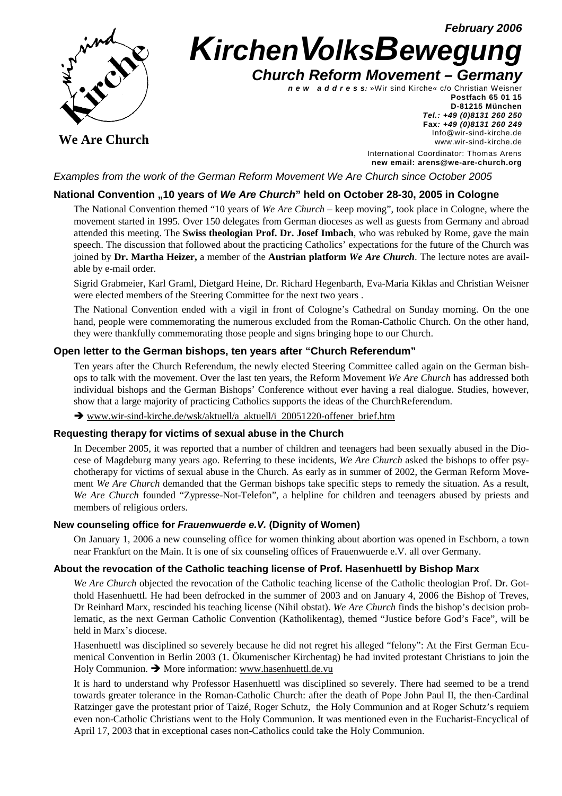**February 2006**



# **KirchenVolksBewegung Church Reform Movement – Germany**

**n e w a d d r e s s:** »Wir sind Kirche« c/o Christian Weisner

**We Are Church** 

**Postfach 65 01 15 D-81215 München Tel.: +49 (0)8131 260 250 Fax: +49 (0)8131 260 249** Info@wir-sind-kirche.de www.wir-sind-kirche.de

International Coordinator: Thomas Arens **new email: arens@we-are-church.org**

Examples from the work of the German Reform Movement We Are Church since October 2005

# **National Convention "10 years of We Are Church" held on October 28-30, 2005 in Cologne**

The National Convention themed "10 years of *We Are Church* – keep moving", took place in Cologne, where the movement started in 1995. Over 150 delegates from German dioceses as well as guests from Germany and abroad attended this meeting. The **Swiss theologian Prof. Dr. Josef Imbach**, who was rebuked by Rome, gave the main speech. The discussion that followed about the practicing Catholics' expectations for the future of the Church was joined by **Dr. Martha Heizer,** a member of the **Austrian platform** *We Are Church*. The lecture notes are available by e-mail order.

Sigrid Grabmeier, Karl Graml, Dietgard Heine, Dr. Richard Hegenbarth, Eva-Maria Kiklas and Christian Weisner were elected members of the Steering Committee for the next two years .

The National Convention ended with a vigil in front of Cologne's Cathedral on Sunday morning. On the one hand, people were commemorating the numerous excluded from the Roman-Catholic Church. On the other hand, they were thankfully commemorating those people and signs bringing hope to our Church.

## **Open letter to the German bishops, ten years after "Church Referendum"**

Ten years after the Church Referendum, the newly elected Steering Committee called again on the German bishops to talk with the movement. Over the last ten years, the Reform Movement *We Are Church* has addressed both individual bishops and the German Bishops' Conference without ever having a real dialogue. Studies, however, show that a large majority of practicing Catholics supports the ideas of the ChurchReferendum.

www.wir-sind-kirche.de/wsk/aktuell/a\_aktuell/i\_20051220-offener\_brief.htm

## **Requesting therapy for victims of sexual abuse in the Church**

In December 2005, it was reported that a number of children and teenagers had been sexually abused in the Diocese of Magdeburg many years ago. Referring to these incidents, *We Are Church* asked the bishops to offer psychotherapy for victims of sexual abuse in the Church. As early as in summer of 2002, the German Reform Movement *We Are Church* demanded that the German bishops take specific steps to remedy the situation. As a result, *We Are Church* founded "Zypresse-Not-Telefon", a helpline for children and teenagers abused by priests and members of religious orders.

## **New counseling office for Frauenwuerde e.V. (Dignity of Women)**

On January 1, 2006 a new counseling office for women thinking about abortion was opened in Eschborn, a town near Frankfurt on the Main. It is one of six counseling offices of Frauenwuerde e.V. all over Germany.

## **About the revocation of the Catholic teaching license of Prof. Hasenhuettl by Bishop Marx**

*We Are Church* objected the revocation of the Catholic teaching license of the Catholic theologian Prof. Dr. Gotthold Hasenhuettl. He had been defrocked in the summer of 2003 and on January 4, 2006 the Bishop of Treves, Dr Reinhard Marx, rescinded his teaching license (Nihil obstat). *We Are Church* finds the bishop's decision problematic, as the next German Catholic Convention (Katholikentag), themed "Justice before God's Face", will be held in Marx's diocese.

Hasenhuettl was disciplined so severely because he did not regret his alleged "felony": At the First German Ecumenical Convention in Berlin 2003 (1. Ökumenischer Kirchentag) he had invited protestant Christians to join the Holy Communion.  $\rightarrow$  More information: www.hasenhuettl.de.vu

It is hard to understand why Professor Hasenhuettl was disciplined so severely. There had seemed to be a trend towards greater tolerance in the Roman-Catholic Church: after the death of Pope John Paul II, the then-Cardinal Ratzinger gave the protestant prior of Taizé, Roger Schutz, the Holy Communion and at Roger Schutz's requiem even non-Catholic Christians went to the Holy Communion. It was mentioned even in the Eucharist-Encyclical of April 17, 2003 that in exceptional cases non-Catholics could take the Holy Communion.